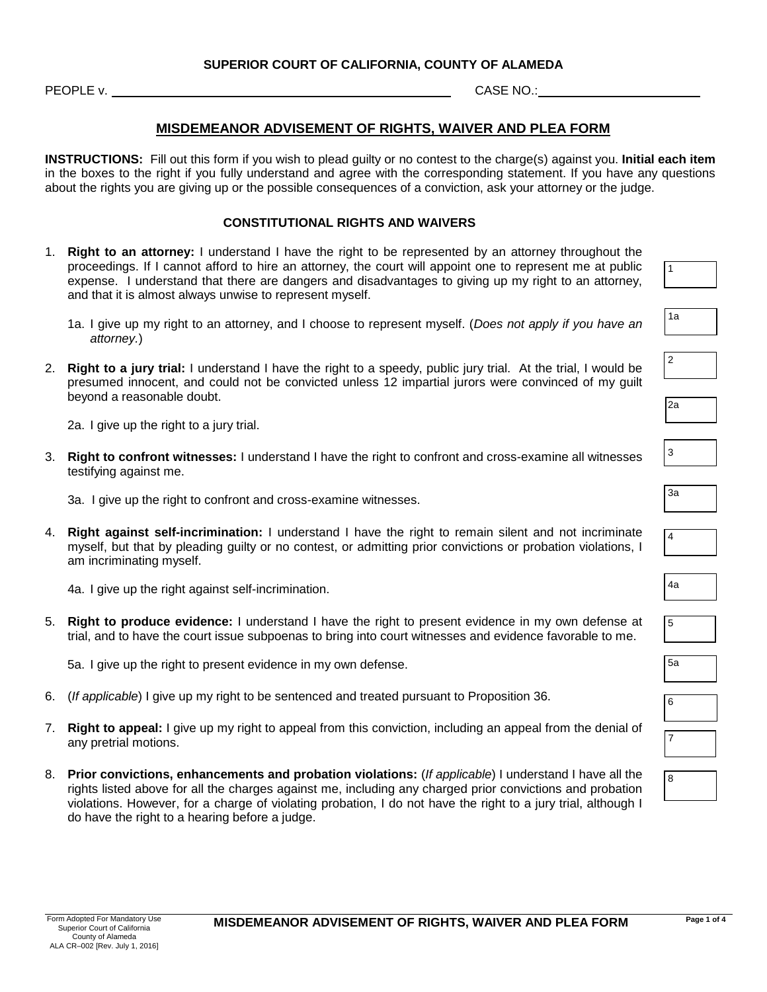**PEOPLE v.** CASE NO.:

## **MISDEMEANOR ADVISEMENT OF RIGHTS, WAIVER AND PLEA FORM**

**INSTRUCTIONS:** Fill out this form if you wish to plead guilty or no contest to the charge(s) against you. **Initial each item** in the boxes to the right if you fully understand and agree with the corresponding statement. If you have any questions about the rights you are giving up or the possible consequences of a conviction, ask your attorney or the judge.

#### **CONSTITUTIONAL RIGHTS AND WAIVERS**

- 1. **Right to an attorney:** I understand I have the right to be represented by an attorney throughout the proceedings. If I cannot afford to hire an attorney, the court will appoint one to represent me at public expense. I understand that there are dangers and disadvantages to giving up my right to an attorney, and that it is almost always unwise to represent myself.
	- 1a. I give up my right to an attorney, and I choose to represent myself. (*Does not apply if you have an attorney.*)
- 2. **Right to a jury trial:** I understand I have the right to a speedy, public jury trial. At the trial, I would be presumed innocent, and could not be convicted unless 12 impartial jurors were convinced of my guilt beyond a reasonable doubt.

2a. I give up the right to a jury trial.

3. **Right to confront witnesses:** I understand I have the right to confront and cross-examine all witnesses testifying against me.

3a. I give up the right to confront and cross-examine witnesses.

4. **Right against self-incrimination:** I understand I have the right to remain silent and not incriminate myself, but that by pleading guilty or no contest, or admitting prior convictions or probation violations, I am incriminating myself.

4a. I give up the right against self-incrimination.

5. **Right to produce evidence:** I understand I have the right to present evidence in my own defense at trial, and to have the court issue subpoenas to bring into court witnesses and evidence favorable to me.

5a. I give up the right to present evidence in my own defense.

- 6. (*If applicable*) I give up my right to be sentenced and treated pursuant to Proposition 36.
- 7. **Right to appeal:** I give up my right to appeal from this conviction, including an appeal from the denial of any pretrial motions.
- 8. **Prior convictions, enhancements and probation violations:** (*If applicable*) I understand I have all the rights listed above for all the charges against me, including any charged prior convictions and probation violations. However, for a charge of violating probation, I do not have the right to a jury trial, although I do have the right to a hearing before a judge.

| 1a             |  |
|----------------|--|
|                |  |
| $\overline{2}$ |  |

1

| v |  |  |
|---|--|--|
|   |  |  |
|   |  |  |

2a

| ۰<br>$\ddot{\phantom{1}}$ |  |  |
|---------------------------|--|--|
|                           |  |  |

4

| v.<br>۰. |  |  |
|----------|--|--|
|          |  |  |

| ۱Э<br>.,<br>. .<br>v<br>M.<br>× |  |
|---------------------------------|--|
|---------------------------------|--|

| 6 |  |
|---|--|
|   |  |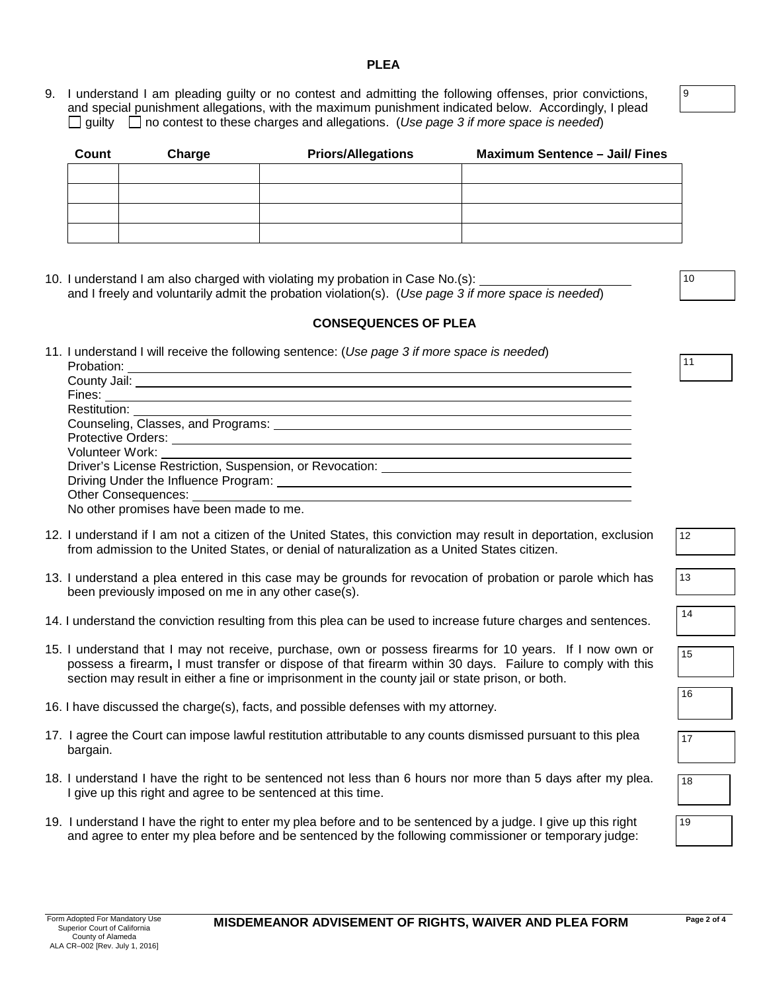#### **PLEA**

9. I understand I am pleading guilty or no contest and admitting the following offenses, prior convictions, and special punishment allegations, with the maximum punishment indicated below. Accordingly, I plead guilty  $\Box$  no contest to these charges and allegations. (Use page 3 if more space is needed)

| Count | Charge | <b>Priors/Allegations</b> | <b>Maximum Sentence - Jail/ Fines</b> |
|-------|--------|---------------------------|---------------------------------------|
|       |        |                           |                                       |
|       |        |                           |                                       |
|       |        |                           |                                       |
|       |        |                           |                                       |

10. I understand I am also charged with violating my probation in Case No.(s): and I freely and voluntarily admit the probation violation(s). (*Use page 3 if more space is needed*)

### **CONSEQUENCES OF PLEA**

11. I understand I will receive the following sentence: (*Use page 3 if more space is needed*) Probation:

| No other promises have been made to me. |
|-----------------------------------------|

- 12. I understand if I am not a citizen of the United States, this conviction may result in deportation, exclusion from admission to the United States, or denial of naturalization as a United States citizen.
- 13. I understand a plea entered in this case may be grounds for revocation of probation or parole which has been previously imposed on me in any other case(s).
- 14. I understand the conviction resulting from this plea can be used to increase future charges and sentences.
- 15. I understand that I may not receive, purchase, own or possess firearms for 10 years. If I now own or possess a firearm**,** I must transfer or dispose of that firearm within 30 days. Failure to comply with this section may result in either a fine or imprisonment in the county jail or state prison, or both.
- 16. I have discussed the charge(s), facts, and possible defenses with my attorney.
- 17. I agree the Court can impose lawful restitution attributable to any counts dismissed pursuant to this plea bargain.
- 18. I understand I have the right to be sentenced not less than 6 hours nor more than 5 days after my plea. I give up this right and agree to be sentenced at this time.
- 19. I understand I have the right to enter my plea before and to be sentenced by a judge. I give up this right and agree to enter my plea before and be sentenced by the following commissioner or temporary judge:

16

15

18

19

17

12

13

14

9

10

11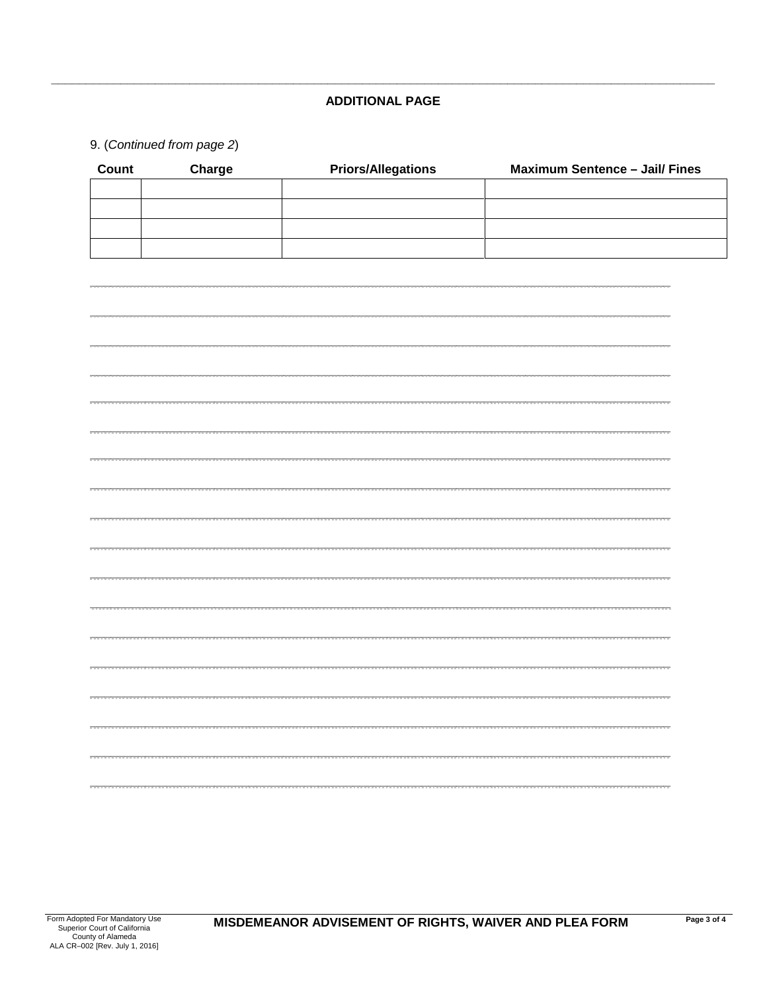## **ADDITIONAL PAGE**

# 9. (Continued from page 2)

| Count | Charge | <b>Priors/Allegations</b> | <b>Maximum Sentence - Jail/ Fines</b> |
|-------|--------|---------------------------|---------------------------------------|
|       |        |                           |                                       |
|       |        |                           |                                       |
|       |        |                           |                                       |
|       |        |                           |                                       |
|       |        |                           |                                       |
|       |        |                           |                                       |
|       |        |                           |                                       |
|       |        |                           |                                       |
|       |        |                           |                                       |
|       |        |                           |                                       |
|       |        |                           |                                       |
|       |        |                           |                                       |
|       |        |                           |                                       |
|       |        |                           |                                       |
|       |        |                           |                                       |
|       |        |                           |                                       |
|       |        |                           |                                       |
|       |        |                           |                                       |
|       |        |                           |                                       |
|       |        |                           |                                       |
|       |        |                           |                                       |
|       |        |                           |                                       |
|       |        |                           |                                       |
|       |        |                           |                                       |
|       |        |                           |                                       |
|       |        |                           |                                       |
|       |        |                           |                                       |
|       |        |                           |                                       |
|       |        |                           |                                       |
|       |        |                           |                                       |
|       |        |                           |                                       |